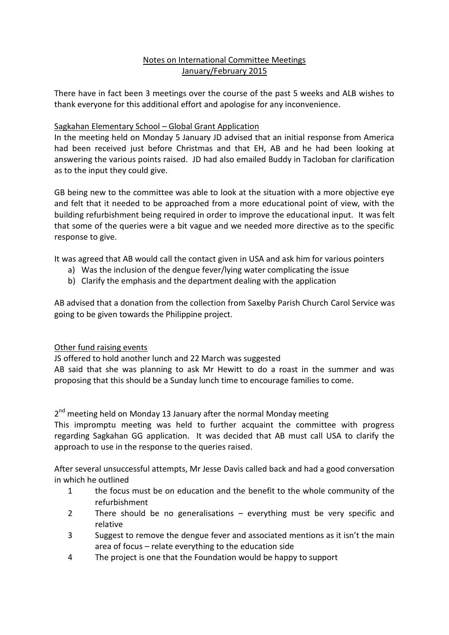## Notes on International Committee Meetings January/February 2015

There have in fact been 3 meetings over the course of the past 5 weeks and ALB wishes to thank everyone for this additional effort and apologise for any inconvenience.

## Sagkahan Elementary School – Global Grant Application

In the meeting held on Monday 5 January JD advised that an initial response from America had been received just before Christmas and that EH, AB and he had been looking at answering the various points raised. JD had also emailed Buddy in Tacloban for clarification as to the input they could give.

GB being new to the committee was able to look at the situation with a more objective eye and felt that it needed to be approached from a more educational point of view, with the building refurbishment being required in order to improve the educational input. It was felt that some of the queries were a bit vague and we needed more directive as to the specific response to give.

It was agreed that AB would call the contact given in USA and ask him for various pointers

- a) Was the inclusion of the dengue fever/lying water complicating the issue
- b) Clarify the emphasis and the department dealing with the application

AB advised that a donation from the collection from Saxelby Parish Church Carol Service was going to be given towards the Philippine project.

## Other fund raising events

JS offered to hold another lunch and 22 March was suggested

AB said that she was planning to ask Mr Hewitt to do a roast in the summer and was proposing that this should be a Sunday lunch time to encourage families to come.

2<sup>nd</sup> meeting held on Monday 13 January after the normal Monday meeting

This impromptu meeting was held to further acquaint the committee with progress regarding Sagkahan GG application. It was decided that AB must call USA to clarify the approach to use in the response to the queries raised.

After several unsuccessful attempts, Mr Jesse Davis called back and had a good conversation in which he outlined

- 1 the focus must be on education and the benefit to the whole community of the refurbishment
- 2 There should be no generalisations everything must be very specific and relative
- 3 Suggest to remove the dengue fever and associated mentions as it isn't the main area of focus – relate everything to the education side
- 4 The project is one that the Foundation would be happy to support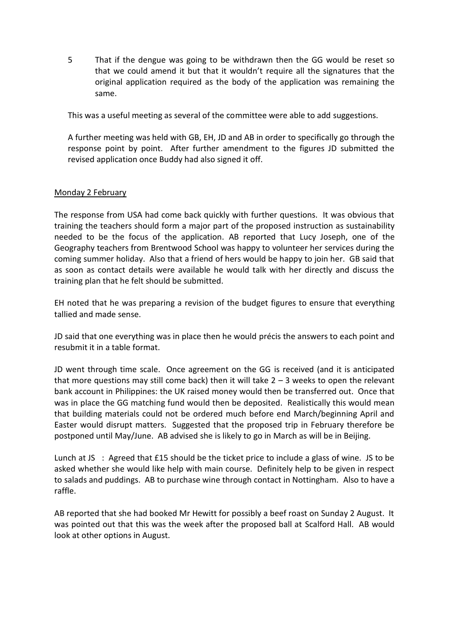5 That if the dengue was going to be withdrawn then the GG would be reset so that we could amend it but that it wouldn't require all the signatures that the original application required as the body of the application was remaining the same.

This was a useful meeting as several of the committee were able to add suggestions.

A further meeting was held with GB, EH, JD and AB in order to specifically go through the response point by point. After further amendment to the figures JD submitted the revised application once Buddy had also signed it off.

## Monday 2 February

The response from USA had come back quickly with further questions. It was obvious that training the teachers should form a major part of the proposed instruction as sustainability needed to be the focus of the application. AB reported that Lucy Joseph, one of the Geography teachers from Brentwood School was happy to volunteer her services during the coming summer holiday. Also that a friend of hers would be happy to join her. GB said that as soon as contact details were available he would talk with her directly and discuss the training plan that he felt should be submitted.

EH noted that he was preparing a revision of the budget figures to ensure that everything tallied and made sense.

JD said that one everything was in place then he would précis the answers to each point and resubmit it in a table format.

JD went through time scale. Once agreement on the GG is received (and it is anticipated that more questions may still come back) then it will take  $2 - 3$  weeks to open the relevant bank account in Philippines: the UK raised money would then be transferred out. Once that was in place the GG matching fund would then be deposited. Realistically this would mean that building materials could not be ordered much before end March/beginning April and Easter would disrupt matters. Suggested that the proposed trip in February therefore be postponed until May/June. AB advised she is likely to go in March as will be in Beijing.

Lunch at JS : Agreed that £15 should be the ticket price to include a glass of wine. JS to be asked whether she would like help with main course. Definitely help to be given in respect to salads and puddings. AB to purchase wine through contact in Nottingham. Also to have a raffle.

AB reported that she had booked Mr Hewitt for possibly a beef roast on Sunday 2 August. It was pointed out that this was the week after the proposed ball at Scalford Hall. AB would look at other options in August.